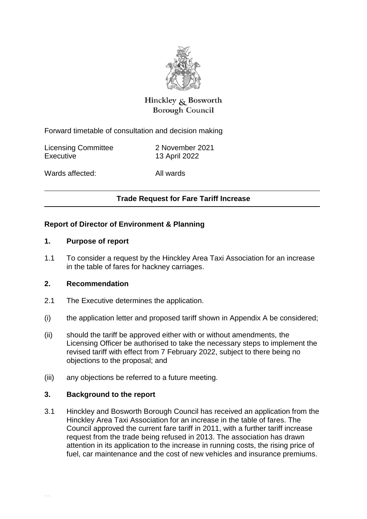

# Hinckley & Bosworth **Borough Council**

Forward timetable of consultation and decision making

Licensing Committee 2 November 2021 Executive 13 April 2022

Wards affected: All wards

# **Trade Request for Fare Tariff Increase**

# **Report of Director of Environment & Planning**

#### **1. Purpose of report**

1.1 To consider a request by the Hinckley Area Taxi Association for an increase in the table of fares for hackney carriages.

# **2. Recommendation**

- 2.1 The Executive determines the application.
- (i) the application letter and proposed tariff shown in Appendix A be considered;
- (ii) should the tariff be approved either with or without amendments, the Licensing Officer be authorised to take the necessary steps to implement the revised tariff with effect from 7 February 2022, subject to there being no objections to the proposal; and
- (iii) any objections be referred to a future meeting.

#### **3. Background to the report**

3.1 Hinckley and Bosworth Borough Council has received an application from the Hinckley Area Taxi Association for an increase in the table of fares. The Council approved the current fare tariff in 2011, with a further tariff increase request from the trade being refused in 2013. The association has drawn attention in its application to the increase in running costs, the rising price of fuel, car maintenance and the cost of new vehicles and insurance premiums.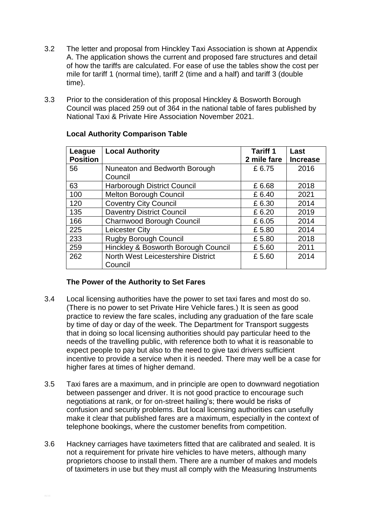- 3.2 The letter and proposal from Hinckley Taxi Association is shown at Appendix A. The application shows the current and proposed fare structures and detail of how the tariffs are calculated. For ease of use the tables show the cost per mile for tariff 1 (normal time), tariff 2 (time and a half) and tariff 3 (double time).
- 3.3 Prior to the consideration of this proposal Hinckley & Bosworth Borough Council was placed 259 out of 364 in the national table of fares published by National Taxi & Private Hire Association November 2021.

| League          | <b>Local Authority</b>              | <b>Tariff 1</b> | Last            |
|-----------------|-------------------------------------|-----------------|-----------------|
| <b>Position</b> |                                     | 2 mile fare     | <b>Increase</b> |
| 56              | Nuneaton and Bedworth Borough       | £6.75           | 2016            |
|                 | Council                             |                 |                 |
| 63              | <b>Harborough District Council</b>  | £6.68           | 2018            |
| 100             | Melton Borough Council              | £6.40           | 2021            |
| 120             | <b>Coventry City Council</b>        | £6.30           | 2014            |
| 135             | <b>Daventry District Council</b>    | £6.20           | 2019            |
| 166             | <b>Charnwood Borough Council</b>    | £6.05           | 2014            |
| 225             | <b>Leicester City</b>               | £5.80           | 2014            |
| 233             | <b>Rugby Borough Council</b>        | £5.80           | 2018            |
| 259             | Hinckley & Bosworth Borough Council | £5.60           | 2011            |
| 262             | North West Leicestershire District  | £5.60           | 2014            |
|                 | Council                             |                 |                 |

# **Local Authority Comparison Table**

# **The Power of the Authority to Set Fares**

- 3.4 Local licensing authorities have the power to set taxi fares and most do so. (There is no power to set Private Hire Vehicle fares.) It is seen as good practice to review the fare scales, including any graduation of the fare scale by time of day or day of the week. The Department for Transport suggests that in doing so local licensing authorities should pay particular heed to the needs of the travelling public, with reference both to what it is reasonable to expect people to pay but also to the need to give taxi drivers sufficient incentive to provide a service when it is needed. There may well be a case for higher fares at times of higher demand.
- 3.5 Taxi fares are a maximum, and in principle are open to downward negotiation between passenger and driver. It is not good practice to encourage such negotiations at rank, or for on-street hailing's; there would be risks of confusion and security problems. But local licensing authorities can usefully make it clear that published fares are a maximum, especially in the context of telephone bookings, where the customer benefits from competition.
- 3.6 Hackney carriages have taximeters fitted that are calibrated and sealed. It is not a requirement for private hire vehicles to have meters, although many proprietors choose to install them. There are a number of makes and models of taximeters in use but they must all comply with the Measuring Instruments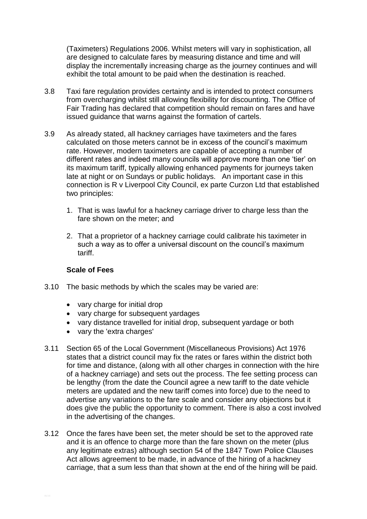(Taximeters) Regulations 2006. Whilst meters will vary in sophistication, all are designed to calculate fares by measuring distance and time and will display the incrementally increasing charge as the journey continues and will exhibit the total amount to be paid when the destination is reached.

- 3.8 Taxi fare regulation provides certainty and is intended to protect consumers from overcharging whilst still allowing flexibility for discounting. The Office of Fair Trading has declared that competition should remain on fares and have issued guidance that warns against the formation of cartels.
- 3.9 As already stated, all hackney carriages have taximeters and the fares calculated on those meters cannot be in excess of the council's maximum rate. However, modern taximeters are capable of accepting a number of different rates and indeed many councils will approve more than one 'tier' on its maximum tariff, typically allowing enhanced payments for journeys taken late at night or on Sundays or public holidays. An important case in this connection is R v Liverpool City Council, ex parte Curzon Ltd that established two principles:
	- 1. That is was lawful for a hackney carriage driver to charge less than the fare shown on the meter; and
	- 2. That a proprietor of a hackney carriage could calibrate his taximeter in such a way as to offer a universal discount on the council's maximum tariff.

#### **Scale of Fees**

- 3.10 The basic methods by which the scales may be varied are:
	- vary charge for initial drop
	- vary charge for subsequent yardages
	- vary distance travelled for initial drop, subsequent yardage or both
	- vary the 'extra charges'
- 3.11 Section 65 of the Local Government (Miscellaneous Provisions) Act 1976 states that a district council may fix the rates or fares within the district both for time and distance, (along with all other charges in connection with the hire of a hackney carriage) and sets out the process. The fee setting process can be lengthy (from the date the Council agree a new tariff to the date vehicle meters are updated and the new tariff comes into force) due to the need to advertise any variations to the fare scale and consider any objections but it does give the public the opportunity to comment. There is also a cost involved in the advertising of the changes.
- 3.12 Once the fares have been set, the meter should be set to the approved rate and it is an offence to charge more than the fare shown on the meter (plus any legitimate extras) although section 54 of the 1847 Town Police Clauses Act allows agreement to be made, in advance of the hiring of a hackney carriage, that a sum less than that shown at the end of the hiring will be paid.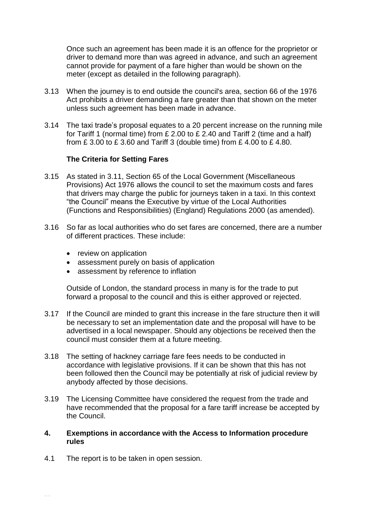Once such an agreement has been made it is an offence for the proprietor or driver to demand more than was agreed in advance, and such an agreement cannot provide for payment of a fare higher than would be shown on the meter (except as detailed in the following paragraph).

- 3.13 When the journey is to end outside the council's area, section 66 of the 1976 Act prohibits a driver demanding a fare greater than that shown on the meter unless such agreement has been made in advance.
- 3.14 The taxi trade's proposal equates to a 20 percent increase on the running mile for Tariff 1 (normal time) from  $£ 2.00$  to  $£ 2.40$  and Tariff 2 (time and a half) from £ 3.00 to £ 3.60 and Tariff 3 (double time) from £ 4.00 to £ 4.80.

#### **The Criteria for Setting Fares**

- 3.15 As stated in 3.11, Section 65 of the Local Government (Miscellaneous Provisions) Act 1976 allows the council to set the maximum costs and fares that drivers may charge the public for journeys taken in a taxi. In this context "the Council" means the Executive by virtue of the Local Authorities (Functions and Responsibilities) (England) Regulations 2000 (as amended).
- 3.16 So far as local authorities who do set fares are concerned, there are a number of different practices. These include:
	- review on application
	- assessment purely on basis of application
	- assessment by reference to inflation

Outside of London, the standard process in many is for the trade to put forward a proposal to the council and this is either approved or rejected.

- 3.17 If the Council are minded to grant this increase in the fare structure then it will be necessary to set an implementation date and the proposal will have to be advertised in a local newspaper. Should any objections be received then the council must consider them at a future meeting.
- 3.18 The setting of hackney carriage fare fees needs to be conducted in accordance with legislative provisions. If it can be shown that this has not been followed then the Council may be potentially at risk of judicial review by anybody affected by those decisions.
- 3.19 The Licensing Committee have considered the request from the trade and have recommended that the proposal for a fare tariff increase be accepted by the Council.
- **4. Exemptions in accordance with the Access to Information procedure rules**
- 4.1 The report is to be taken in open session.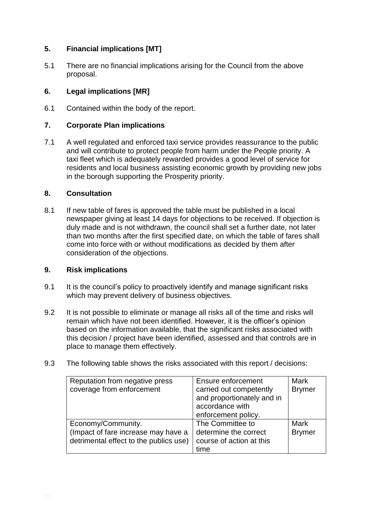# **5. Financial implications [MT]**

5.1 There are no financial implications arising for the Council from the above proposal.

# **6. Legal implications [MR]**

6.1 Contained within the body of the report.

# **7. Corporate Plan implications**

7.1 A well regulated and enforced taxi service provides reassurance to the public and will contribute to protect people from harm under the People priority. A taxi fleet which is adequately rewarded provides a good level of service for residents and local business assisting economic growth by providing new jobs in the borough supporting the Prosperity priority.

#### **8. Consultation**

8.1 If new table of fares is approved the table must be published in a local newspaper giving at least 14 days for objections to be received. If objection is duly made and is not withdrawn, the council shall set a further date, not later than two months after the first specified date, on which the table of fares shall come into force with or without modifications as decided by them after consideration of the objections.

#### **9. Risk implications**

- 9.1 It is the council's policy to proactively identify and manage significant risks which may prevent delivery of business objectives.
- 9.2 It is not possible to eliminate or manage all risks all of the time and risks will remain which have not been identified. However, it is the officer's opinion based on the information available, that the significant risks associated with this decision / project have been identified, assessed and that controls are in place to manage them effectively.
- 9.3 The following table shows the risks associated with this report / decisions:

| Reputation from negative press         | Ensure enforcement         | <b>Mark</b>   |
|----------------------------------------|----------------------------|---------------|
| coverage from enforcement              | carried out competently    | <b>Brymer</b> |
|                                        | and proportionately and in |               |
|                                        | accordance with            |               |
|                                        | enforcement policy.        |               |
| Economy/Community.                     | The Committee to           | <b>Mark</b>   |
| (Impact of fare increase may have a    | determine the correct      | <b>Brymer</b> |
| detrimental effect to the publics use) | course of action at this   |               |
|                                        | time                       |               |